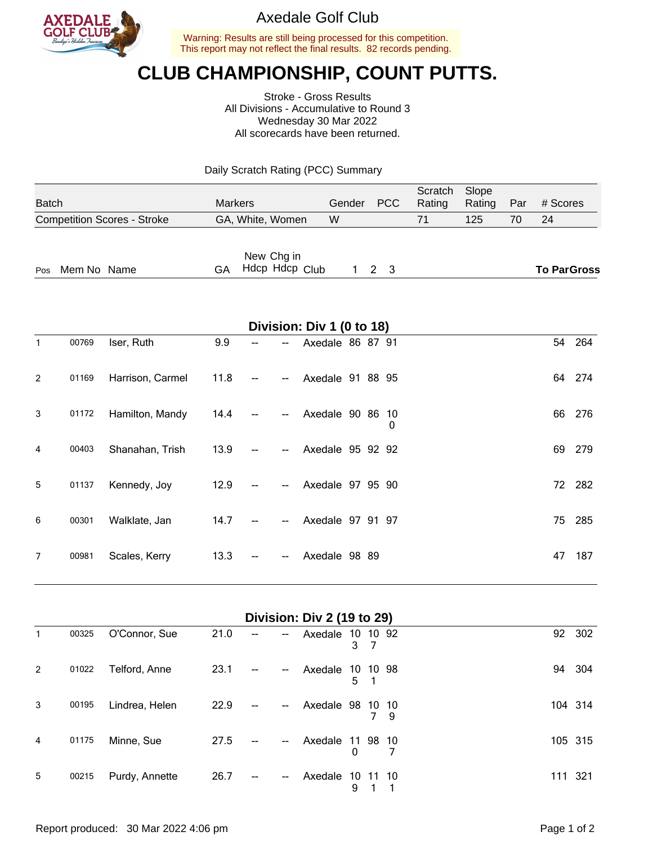

## Axedale Golf Club

Warning: Results are still being processed for this competition. This report may not reflect the final results. 82 records pending.

# **CLUB CHAMPIONSHIP, COUNT PUTTS.**

Stroke - Gross Results All Divisions - Accumulative to Round 3 Wednesday 30 Mar 2022 All scorecards have been returned.

Daily Scratch Rating (PCC) Summary

| <b>Batch</b>                       | <b>Markers</b>                     | Gender | PCC         | Scratch<br>Rating | Slope<br>Rating | Par | # Scores           |
|------------------------------------|------------------------------------|--------|-------------|-------------------|-----------------|-----|--------------------|
| <b>Competition Scores - Stroke</b> | GA, White, Women                   | W      |             | 71                | 125             | 70  | 24                 |
| Mem No Name<br>Pos                 | New Chg in<br>Hdcp Hdcp Club<br>GA |        | $1 \t2 \t3$ |                   |                 |     | <b>To ParGross</b> |

| Division: Div 1 (0 to 18) |       |                  |      |    |                          |                  |  |  |   |    |        |  |
|---------------------------|-------|------------------|------|----|--------------------------|------------------|--|--|---|----|--------|--|
| $\mathbf{1}$              | 00769 | Iser, Ruth       | 9.9  | -- | --                       | Axedale 86 87 91 |  |  |   |    | 54 264 |  |
| 2                         | 01169 | Harrison, Carmel | 11.8 |    | --                       | Axedale 91 88 95 |  |  |   | 64 | 274    |  |
| 3                         | 01172 | Hamilton, Mandy  | 14.4 |    | --                       | Axedale 90 86 10 |  |  | 0 | 66 | 276    |  |
| 4                         | 00403 | Shanahan, Trish  | 13.9 |    | --                       | Axedale 95 92 92 |  |  |   |    | 69 279 |  |
| 5                         | 01137 | Kennedy, Joy     | 12.9 |    | $\overline{\phantom{m}}$ | Axedale 97 95 90 |  |  |   |    | 72 282 |  |
| 6                         | 00301 | Walklate, Jan    | 14.7 |    |                          | Axedale 97 91 97 |  |  |   | 75 | 285    |  |
| $\overline{7}$            | 00981 | Scales, Kerry    | 13.3 |    | --                       | Axedale 98 89    |  |  |   | 47 | 187    |  |

| 1              | 00325 | O'Connor, Sue  | 21.0 | -- | $\overline{\phantom{a}}$ | Axedale       | 3       | 10 10 92 |           | 92  | 302     |
|----------------|-------|----------------|------|----|--------------------------|---------------|---------|----------|-----------|-----|---------|
| 2              | 01022 | Telford, Anne  | 23.1 | -- | --                       | Axedale       | 10<br>5 | 10       | -98       | 94  | 304     |
| 3              | 00195 | Lindrea, Helen | 22.9 | -- | $\overline{a}$           | Axedale 98 10 |         |          | -10<br>-9 |     | 104 314 |
| $\overline{4}$ | 01175 | Minne, Sue     | 27.5 |    | --                       | Axedale       | 0       | 11 98 10 | 7         |     | 105 315 |
| 5              | 00215 | Purdy, Annette | 26.7 | -- | $\overline{a}$           | Axedale       | 10<br>9 | 11       | -10       | 111 | 321     |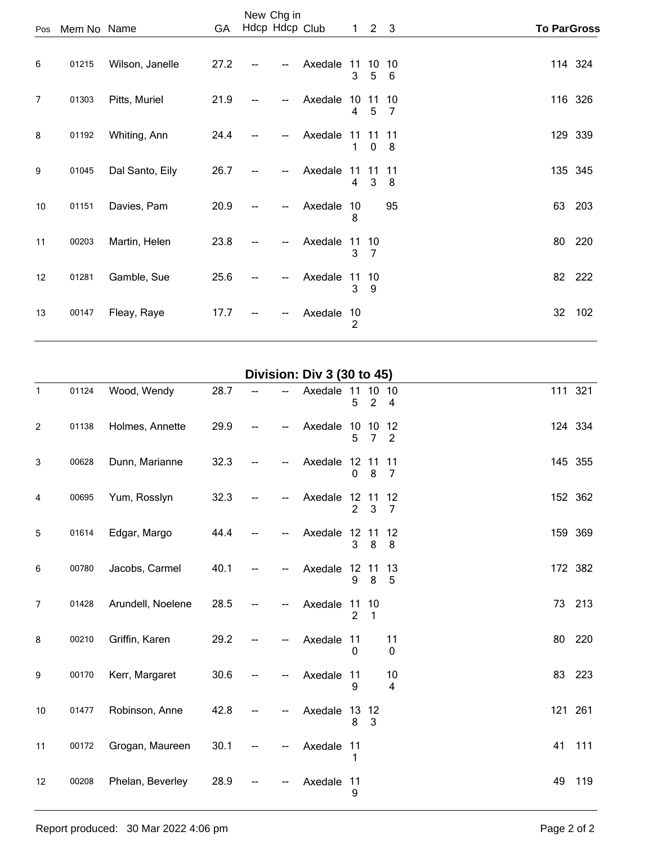|                |             |                 |      |    | New Chg in     |         |                      |                     |                      |                    |
|----------------|-------------|-----------------|------|----|----------------|---------|----------------------|---------------------|----------------------|--------------------|
| Pos            | Mem No Name |                 | GA   |    | Hdcp Hdcp Club |         |                      | $1 \quad 2 \quad 3$ |                      | <b>To ParGross</b> |
| 6              | 01215       | Wilson, Janelle | 27.2 | -- | --             | Axedale | 11<br>3              | 10<br>5             | 10<br>6              | 114 324            |
| $\overline{7}$ | 01303       | Pitts, Muriel   | 21.9 |    | --             | Axedale | 4                    | 1011<br>5           | 10<br>$\overline{7}$ | 116 326            |
| 8              | 01192       | Whiting, Ann    | 24.4 |    | --             | Axedale | 1                    | 1111<br>$\mathbf 0$ | 11<br>8              | 129 339            |
| 9              | 01045       | Dal Santo, Eily | 26.7 |    | $\overline{a}$ | Axedale | 11<br>4              | 11<br>3             | 11<br>8              | 135 345            |
| 10             | 01151       | Davies, Pam     | 20.9 |    | --             | Axedale | 10<br>8              |                     | 95                   | 63<br>203          |
| 11             | 00203       | Martin, Helen   | 23.8 |    | $\overline{a}$ | Axedale | 11 10<br>3           | 7                   |                      | 80<br>220          |
| 12             | 01281       | Gamble, Sue     | 25.6 |    | --             | Axedale | 11 10<br>3           | 9                   |                      | 82 222             |
| 13             | 00147       | Fleay, Raye     | 17.7 |    |                | Axedale | 10<br>$\overline{c}$ |                     |                      | 32<br>102          |

#### **Division: Div 3 (30 to 45)**

| $\mathbf{1}$   | 01124 | Wood, Wendy       | 28.7 |  | Axedale    | 11<br>5              | 10<br>$\overline{2}$ | 10<br>$\overline{\mathbf{4}}$ |    | 111 321 |
|----------------|-------|-------------------|------|--|------------|----------------------|----------------------|-------------------------------|----|---------|
| $\overline{c}$ | 01138 | Holmes, Annette   | 29.9 |  | Axedale    | 10<br>5              | 10<br>$\overline{7}$ | 12<br>$\overline{2}$          |    | 124 334 |
| $\mathbf{3}$   | 00628 | Dunn, Marianne    | 32.3 |  | Axedale    | 12 11<br>$\mathbf 0$ | 8                    | 11<br>7                       |    | 145 355 |
| 4              | 00695 | Yum, Rosslyn      | 32.3 |  | Axedale    | 12<br>$\overline{2}$ | $11$<br>3            | 12<br>7                       |    | 152 362 |
| 5              | 01614 | Edgar, Margo      | 44.4 |  | Axedale    | 12 11<br>3           | 8                    | 12<br>8                       |    | 159 369 |
| $\,6\,$        | 00780 | Jacobs, Carmel    | 40.1 |  | Axedale    | 12 11<br>9           | $\bf 8$              | 13<br>5                       |    | 172 382 |
| $\overline{7}$ | 01428 | Arundell, Noelene | 28.5 |  | Axedale    | 11<br>$\overline{2}$ | 10<br>1              |                               |    | 73 213  |
| 8              | 00210 | Griffin, Karen    | 29.2 |  | Axedale    | 11<br>0              |                      | 11<br>$\mathbf 0$             |    | 80 220  |
| 9              | 00170 | Kerr, Margaret    | 30.6 |  | Axedale    | 11<br>9              |                      | 10<br>4                       |    | 83 223  |
| 10             | 01477 | Robinson, Anne    | 42.8 |  | Axedale    | 13<br>8              | 12<br>$\mathbf{3}$   |                               |    | 121 261 |
| 11             | 00172 | Grogan, Maureen   | 30.1 |  | Axedale 11 | 1                    |                      |                               | 41 | 111     |
| 12             | 00208 | Phelan, Beverley  | 28.9 |  | Axedale 11 | 9                    |                      |                               | 49 | 119     |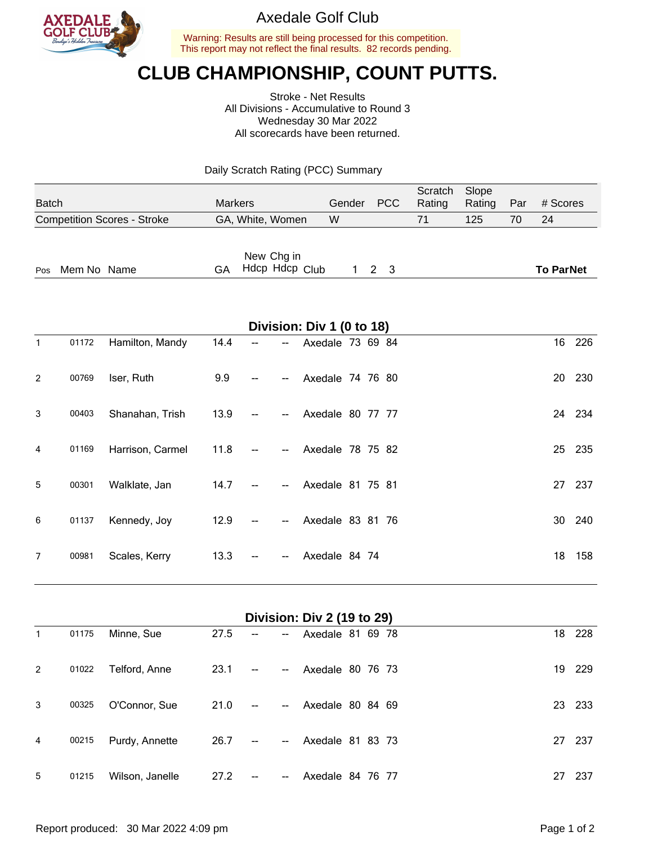

## Axedale Golf Club

Warning: Results are still being processed for this competition. This report may not reflect the final results. 82 records pending.

# **CLUB CHAMPIONSHIP, COUNT PUTTS.**

Stroke - Net Results All Divisions - Accumulative to Round 3 Wednesday 30 Mar 2022 All scorecards have been returned.

Daily Scratch Rating (PCC) Summary

| <b>Batch</b>                       | <b>Markers</b>                     | Gender | <b>PCC</b>        | Scratch<br>Rating | Slope<br>Rating | Par | # Scores         |
|------------------------------------|------------------------------------|--------|-------------------|-------------------|-----------------|-----|------------------|
| <b>Competition Scores - Stroke</b> | GA, White, Women                   | W      |                   | 71                | 125             | 70  | 24               |
| Mem No Name<br>Pos                 | New Chg in<br>Hdcp Hdcp Club<br>GA |        | $1\quad 2\quad 3$ |                   |                 |     | <b>To ParNet</b> |

|                | Division: Div 1 (0 to 18) |                  |      |    |                |                  |    |        |  |  |  |  |  |
|----------------|---------------------------|------------------|------|----|----------------|------------------|----|--------|--|--|--|--|--|
| $\mathbf{1}$   | 01172                     | Hamilton, Mandy  | 14.4 | -- | --             | Axedale 73 69 84 |    | 16 226 |  |  |  |  |  |
| 2              | 00769                     | Iser, Ruth       | 9.9  |    | --             | Axedale 74 76 80 | 20 | 230    |  |  |  |  |  |
| 3              | 00403                     | Shanahan, Trish  | 13.9 |    | --             | Axedale 80 77 77 |    | 24 234 |  |  |  |  |  |
| 4              | 01169                     | Harrison, Carmel | 11.8 |    | --             | Axedale 78 75 82 |    | 25 235 |  |  |  |  |  |
| 5              | 00301                     | Walklate, Jan    | 14.7 |    | --             | Axedale 81 75 81 | 27 | 237    |  |  |  |  |  |
| 6              | 01137                     | Kennedy, Joy     | 12.9 |    | $\overline{a}$ | Axedale 83 81 76 | 30 | 240    |  |  |  |  |  |
| $\overline{7}$ | 00981                     | Scales, Kerry    | 13.3 |    | --             | Axedale 84 74    | 18 | 158    |  |  |  |  |  |

| Division: Div 2 (19 to 29) |       |                 |      |                |                          |                  |    |        |  |  |  |
|----------------------------|-------|-----------------|------|----------------|--------------------------|------------------|----|--------|--|--|--|
| 1                          | 01175 | Minne, Sue      | 27.5 | --             | --                       | Axedale 81 69 78 |    | 18 228 |  |  |  |
| 2                          | 01022 | Telford, Anne   | 23.1 | $\overline{a}$ | $\overline{\phantom{a}}$ | Axedale 80 76 73 | 19 | 229    |  |  |  |
| 3                          | 00325 | O'Connor, Sue   | 21.0 | $\mathbf{u}$   | $\overline{\phantom{a}}$ | Axedale 80 84 69 | 23 | 233    |  |  |  |
| 4                          | 00215 | Purdy, Annette  | 26.7 | $\sim$         | --                       | Axedale 81 83 73 | 27 | - 237  |  |  |  |
| 5                          | 01215 | Wilson, Janelle | 27.2 |                | --                       | Axedale 84 76 77 | 27 | 237    |  |  |  |